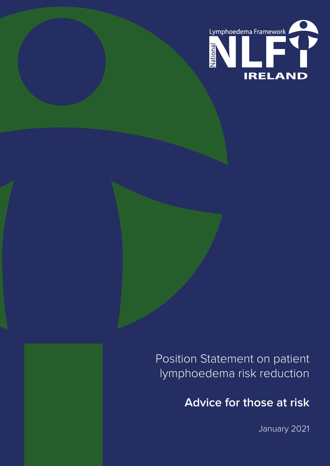

Position Statement on patient lymphoedema risk reduction

**Advice for those at risk**

January 2021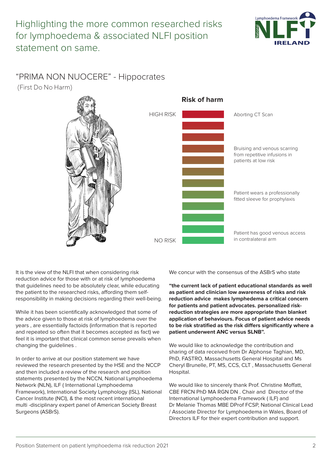

# "PRIMA NON NUOCERE" - Hippocrates

(First Do No Harm)



It is the view of the NLFI that when considering risk reduction advice for those with or at risk of lymphoedema that guidelines need to be absolutely clear, while educating the patient to the researched risks, affording them selfresponsibility in making decisions regarding their well-being.

While it has been scientifically acknowledged that some of the advice given to those at risk of lymphoedema over the years , are essentially factoids (information that is reported and repeated so often that it becomes accepted as fact) we feel it is important that clinical common sense prevails when changing the guidelines .

In order to arrive at our position statement we have reviewed the research presented by the HSE and the NCCP and then included a review of the research and position statements presented by the NCCN, National Lymphoedema Network (NLN), ILF ( International Lymphoedema Framework), International Society Lymphology (ISL), National Cancer Institute (NCI), & the most recent international multi -disciplinary expert panel of American Society Breast Surgeons (ASBrS).

We concur with the consensus of the ASBrS who state

**"the current lack of patient educational standards as well as patient and clinician low awareness of risks and risk reduction advice makes lymphedema a critical concern for patients and patient advocates. personalized riskreduction strategies are more appropriate than blanket application of behaviours. Focus of patient advice needs to be risk stratified as the risk differs significantly where a patient underwent ANC versus SLNB".** 

We would like to acknowledge the contribution and sharing of data received from Dr Alphonse Taghian, MD, PhD, FASTRO, Massachusetts General Hospital and Ms Cheryl Brunelle, PT, MS, CCS, CLT , Massachusetts General Hospital.

We would like to sincerely thank Prof. Christine Moffatt, CBE FRCN PhD MA RGN DN . Chair and Director of the International Lymphoedema Framework ( ILF) and Dr Melanie Thomas MBE DProf FCSP, National Clinical Lead / Associate Director for Lymphoedema in Wales, Board of Directors ILF for their expert contribution and support.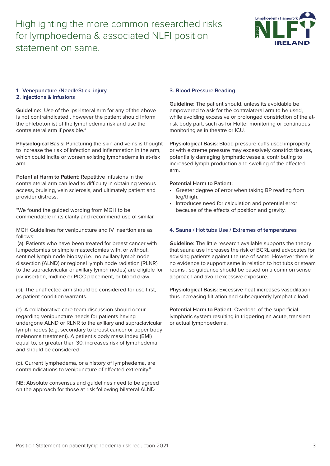

# **1. Venepuncture /NeedleStick injury**

#### **2. Injections & Infusions**

**Guideline:** Use of the ipsi-lateral arm for any of the above is not contraindicated , however the patient should inform the phlebotomist of the lymphedema risk and use the contralateral arm if possible.\*

**Physiological Basis:** Puncturing the skin and veins is thought to increase the risk of infection and inflammation in the arm, which could incite or worsen existing lymphedema in at-risk arm.

**Potential Harm to Patient:** Repetitive infusions in the contralateral arm can lead to difficulty in obtaining venous access, bruising, vein sclerosis, and ultimately patient and provider distress.

\*We found the guided wording from MGH to be commendable in its clarity and recommend use of similar.

MGH Guidelines for venipuncture and IV insertion are as follows:

 (a). Patients who have been treated for breast cancer with lumpectomies or simple mastectomies with, or without, sentinel lymph node biopsy (i.e., no axillary lymph node dissection {ALND} or regional lymph node radiation {RLNR} to the supraclavicular or axillary lymph nodes) are eligible for piv insertion, midline or PICC placement, or blood draw.

(b). The unaffected arm should be considered for use first, as patient condition warrants.

(c). A collaborative care team discussion should occur regarding venipuncture needs for patients having undergone ALND or RLNR to the axillary and supraclavicular lymph nodes (e.g. secondary to breast cancer or upper body melanoma treatment). A patient's body mass index (BMI) equal to, or greater than 30, increases risk of lymphedema and should be considered.

(d). Current lymphedema, or a history of lymphedema, are contraindications to venipuncture of affected extremity."

NB: Absolute consensus and guidelines need to be agreed on the approach for those at risk following bilateral ALND

## **3. Blood Pressure Reading**

**Guideline:** The patient should, unless its avoidable be empowered to ask for the contralateral arm to be used, while avoiding excessive or prolonged constriction of the atrisk body part, such as for Holter monitoring or continuous monitoring as in theatre or ICU.

**Physiological Basis:** Blood pressure cuffs used improperly or with extreme pressure may excessively constrict tissues, potentially damaging lymphatic vessels, contributing to increased lymph production and swelling of the affected arm.

### **Potential Harm to Patient:**

- Greater degree of error when taking BP reading from leg/thigh.
- Introduces need for calculation and potential error because of the effects of position and gravity.

#### **4. Sauna / Hot tubs Use / Extremes of temperatures**

**Guideline:** The little research available supports the theory that sauna use increases the risk of BCRL and advocates for advising patients against the use of same. However there is no evidence to support same in relation to hot tubs or steam rooms , so guidance should be based on a common sense approach and avoid excessive exposure.

**Physiological Basis:** Excessive heat increases vasodilation thus increasing filtration and subsequently lymphatic load.

**Potential Harm to Patient:** Overload of the superficial lymphatic system resulting in triggering an acute, transient or actual lymphoedema.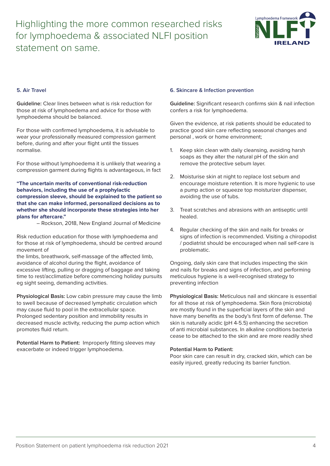

#### **5. Air Travel**

**Guideline:** Clear lines between what is risk reduction for those at risk of lymphoedema and advice for those with lymphoedema should be balanced.

For those with confirmed lymphoedema, it is advisable to wear your professionally measured compression garment before, during and after your flight until the tissues normalise.

For those without lymphoedema it is unlikely that wearing a compression garment during flights is advantageous, in fact

**"The uncertain merits of conventional risk-reduction behaviors, including the use of a prophylactic compression sleeve, should be explained to the patient so that she can make informed, personalized decisions as to whether she should incorporate these strategies into her plans for aftercare."**

– Rockson, 2018, New England Journal of Medicine

Risk reduction education for those with lymphoedema and for those at risk of lymphoedema, should be centred around movement of

the limbs, breathwork, self-massage of the affected limb, avoidance of alcohol during the flight, avoidance of excessive lifting, pulling or dragging of baggage and taking time to rest/acclimatize before commencing holiday pursuits eg sight seeing, demanding activities.

**Physiological Basis:** Low cabin pressure may cause the limb to swell because of decreased lymphatic circulation which may cause fluid to pool in the extracellular space. Prolonged sedentary position and immobility results in decreased muscle activity, reducing the pump action which promotes fluid return.

**Potential Harm to Patient:** Improperly fitting sleeves may exacerbate or indeed trigger lymphoedema.

#### **6. Skincare & Infection prevention**

**Guideline:** Significant research confirms skin & nail infection confers a risk for lymphoedema.

Given the evidence, at risk patients should be educated to practice good skin care reflecting seasonal changes and personal , work or home environment;

- 1. Keep skin clean with daily cleansing, avoiding harsh soaps as they alter the natural pH of the skin and remove the protective sebum layer.
- 2. Moisturise skin at night to replace lost sebum and encourage moisture retention. It is more hygienic to use a pump action or squeeze top moisturizer dispenser, avoiding the use of tubs.
- 3. Treat scratches and abrasions with an antiseptic until healed.
- 4. Regular checking of the skin and nails for breaks or signs of infection is recommended. Visiting a chiropodist / podiatrist should be encouraged when nail self-care is problematic.

Ongoing, daily skin care that includes inspecting the skin and nails for breaks and signs of infection, and performing meticulous hygiene is a well-recognised strategy to preventing infection

**Physiological Basis:** Meticulous nail and skincare is essential for all those at risk of lymphoedema. Skin flora (microbiota) are mostly found in the superficial layers of the skin and have many benefits as the body's first form of defense. The skin is naturally acidic (pH 4-5.5) enhancing the secretion of anti microbial substances. In alkaline conditions bacteria cease to be attached to the skin and are more readily shed

#### **Potential Harm to Patient:**

Poor skin care can result in dry, cracked skin, which can be easily injured, greatly reducing its barrier function.